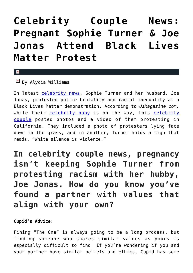# **[Celebrity Couple News:](https://cupidspulse.com/134860/celebrity-couple-news-pregnant-sophie-turner-joe-jonas-attend-protest/) [Pregnant Sophie Turner & Joe](https://cupidspulse.com/134860/celebrity-couple-news-pregnant-sophie-turner-joe-jonas-attend-protest/) [Jonas Attend Black Lives](https://cupidspulse.com/134860/celebrity-couple-news-pregnant-sophie-turner-joe-jonas-attend-protest/) [Matter Protest](https://cupidspulse.com/134860/celebrity-couple-news-pregnant-sophie-turner-joe-jonas-attend-protest/)**

#### $\mathbf{x}$

### $\overline{\mathbb{F}}$  By Alycia Williams

In latest [celebrity news](http://cupidspulse.com/celebrity-news/), Sophie Turner and her husband, Joe Jonas, protested police brutality and racial inequality at a Black Lives Matter demonstration. According to *UsMagazine.com,* while their [celebrity baby](http://cupidspulse.com/celebrity-relationships/celebrity-babies/) is on the way, this [celebrity](http://cupidspulse.com/celebrity-news/celebrity-dating/) [couple](http://cupidspulse.com/celebrity-news/celebrity-dating/) posted photos and a video of them protesting in California. They included a photo of protesters lying face down in the grass, and in another, Turner holds a sign that reads, "White silence is violence."

**In celebrity couple news, pregnancy isn't keeping Sophie Turner from protesting racism with her hubby, Joe Jonas. How do you know you've found a partner with values that align with your own?**

#### **Cupid's Advice:**

Fining "The One" is always going to be a long process, but finding someone who shares similar values as yours is especially difficult to find. If you're wondering if you and your partner have similar beliefs and ethics, Cupid has some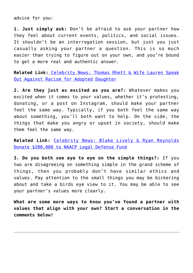advice for you:

**1. Just simply ask:** Don't be afraid to ask your partner how they feel about current events, politics, and social issues. It shouldn't be an interrogation session, but just you just casually asking your partner a question. This is so much easier than trying to figure out on your own, and you're bound to get a more real and authentic answer.

**Related Link:** [Celebrity News: Thomas Rhett & Wife Lauren Speak](http://cupidspulse.com/134809/celebrity-news-thomas-rhett-lauren-speak-out-against-racism/) [Out Against Racism for Adopted Daughter](http://cupidspulse.com/134809/celebrity-news-thomas-rhett-lauren-speak-out-against-racism/)

**2. Are they just as excited as you are?:** Whatever makes you excited when it comes to your values, whether it's protesting, donating, or a post on Instagram, should make your partner feel the same way. Typically, if you both feel the same way about something, you'll both want to help. On the side, the things that make you angry or upset in society, should make them feel the same way.

**Related Link:** [Celebrity News: Blake Lively & Ryan Reynolds](http://cupidspulse.com/134789/celebrity-news-blake-lively-ryan-reynolds-donate-naacp/) [Donate \\$200,000 to NAACP Legal Defense Fund](http://cupidspulse.com/134789/celebrity-news-blake-lively-ryan-reynolds-donate-naacp/)

**3. Do you both see eye to eye on the simple things?:** If you two are disagreeing on something simple in the grand scheme of things, then you probably don't have similar ethics and values. Pay attention to the small things you may be bickering about and take a birds eye view to it. You may be able to see your partner's values more clearly.

**What are some more ways to know you've found a partner with values that align with your own? Start a conversation in the comments below!**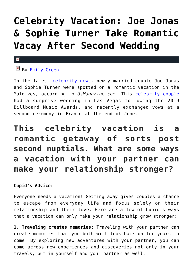# **[Celebrity Vacation: Joe Jonas](https://cupidspulse.com/131862/celebrity-vacation-joe-jonas-sophie-turner-romantic-vacation-second-wedding/) [& Sophie Turner Take Romantic](https://cupidspulse.com/131862/celebrity-vacation-joe-jonas-sophie-turner-romantic-vacation-second-wedding/) [Vacay After Second Wedding](https://cupidspulse.com/131862/celebrity-vacation-joe-jonas-sophie-turner-romantic-vacation-second-wedding/)**

#### $\mathbf x$

 $B_y$  [Emily Green](http://cupidspulse.com/130726/emily-green/)

In the latest [celebrity news,](http://cupidspulse.com/celebrity-news/) newly married couple Joe Jonas and Sophie Turner were spotted on a romantic vacation in the Maldives, according to *UsMagazine.com*. This [celebrity couple](http://cupidspulse.com/celebrity-news/celebrity-dating/) had a surprise wedding in Las Vegas following the 2019 Billboard Music Awards, and recently exchanged vows at a second ceremony in France at the end of June.

**This celebrity vacation is a romantic getaway of sorts post second nuptials. What are some ways a vacation with your partner can make your relationship stronger?**

### **Cupid's Advice:**

Everyone needs a vacation! Getting away gives couples a chance to escape from everyday life and focus solely on their relationship and their love. Here are a few of Cupid's ways that a vacation can only make your relationship grow stronger:

**1. Traveling creates memories:** Traveling with your partner can create memories that you both will look back on for years to come. By exploring new adventures with your partner, you can come across new experiences and discoveries not only in your travels, but in yourself and your partner as well.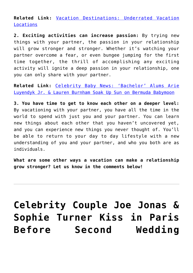**Related Link:** [Vacation Destinations: Underrated Vacation](http://cupidspulse.com/130626/vacation-destinations-underrated-vacation-locations/) [Locations](http://cupidspulse.com/130626/vacation-destinations-underrated-vacation-locations/)

**2. Exciting activities can increase passion:** By trying new things with your partner, the passion in your relationship will grow stronger and stronger. Whether it's watching your partner overcome a fear, or even bungee jumping for the first time together, the thrill of accomplishing any exciting activity will ignite a deep passion in your relationship, one you can only share with your partner.

**Related Link:** [Celebrity Baby News: 'Bachelor' Alums Arie](http://cupidspulse.com/129913/celebrity-baby-news-arie-luyendyk-jr-lauren-burnham-bermuda-babymoon/) [Luyendyk Jr. & Lauren Burnham Soak Up Sun on Bermuda Babymoon](http://cupidspulse.com/129913/celebrity-baby-news-arie-luyendyk-jr-lauren-burnham-bermuda-babymoon/)

**3. You have time to get to know each other on a deeper level:** By vacationing with your partner, you have all the time in the world to spend with just you and your partner. You can learn new things about each other that you haven't uncovered yet, and you can experience new things you never thought of. You'll be able to return to your day to day lifestyle with a new understanding of you and your partner, and who you both are as individuals.

**What are some other ways a vacation can make a relationship grow stronger? Let us know in the comments below!**

# **[Celebrity Couple Joe Jonas &](https://cupidspulse.com/131321/celebrity-couple-joe-jonas-sophie-turner-kiss-paris-second-wedding-ceremony/) [Sophie Turner Kiss in Paris](https://cupidspulse.com/131321/celebrity-couple-joe-jonas-sophie-turner-kiss-paris-second-wedding-ceremony/) [Before Second Wedding](https://cupidspulse.com/131321/celebrity-couple-joe-jonas-sophie-turner-kiss-paris-second-wedding-ceremony/)**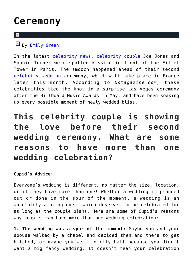## **[Ceremony](https://cupidspulse.com/131321/celebrity-couple-joe-jonas-sophie-turner-kiss-paris-second-wedding-ceremony/)**

#### $\mathbf x$

### By **Emily Green**

In the latest [celebrity news,](http://cupidspulse.com/celebrity-news/) [celebrity couple](http://cupidspulse.com/celebrity-news/celebrity-weddings/) Joe Jonas and Sophie Turner were spotted kissing in front of the Eiffel Tower in Paris. The smooch happened ahead of their second [celebrity wedding](http://cupidspulse.com/?s=celebrity+wedding) ceremony, which will take place in France later this month. According to *UsMagazine.com,* these celebrities tied the knot in a surprise Las Vegas ceremony after the Billboard Music Awards in May, and have been soaking up every possible moment of newly wedded bliss.

## **This celebrity couple is showing the love before their second wedding ceremony. What are some reasons to have more than one wedding celebration?**

#### **Cupid's Advice:**

Everyone's wedding is different, no matter the size, location, or if they have more than one! Whether a wedding is planned out or done in the spur of the moment, a wedding is an absolutely amazing event which deserves to be celebrated for as long as the couple plans. Here are some of Cupid's reasons why couples can have more than one wedding celebration:

**1. The wedding was a spur of the moment:** Maybe you and your spouse walked by a chapel and decided then and there to get hitched, or maybe you went to city hall because you didn't want a big fancy wedding. It doesn't mean your celebration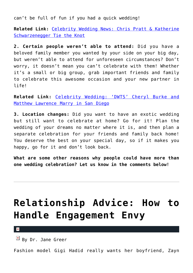can't be full of fun if you had a quick wedding!

**Related Link:** [Celebrity Wedding News: Chris Pratt & Katherine](http://cupidspulse.com/130867/celebrity-wedding-news-chris-pratt-katherine-schwarzenegger-married/) [Schwarzenegger Tie the Knot](http://cupidspulse.com/130867/celebrity-wedding-news-chris-pratt-katherine-schwarzenegger-married/)

**2. Certain people weren't able to attend:** Did you have a beloved family member you wanted by your side on your big day, but weren't able to attend for unforeseen circumstances? Don't worry, it doesn't mean you can't celebrate with them! Whether it's a small or big group, grab important friends and family to celebrate this awesome occasion and your new partner in life!

**Related Link:** [Celebrity Wedding: 'DWTS' Cheryl Burke and](http://cupidspulse.com/130374/celebrity-wedding-cheryl-burke-matthew-lawrence-marry/) [Matthew Lawrence Marry in San Diego](http://cupidspulse.com/130374/celebrity-wedding-cheryl-burke-matthew-lawrence-marry/)

**3. Location changes:** Did you want to have an exotic wedding but still want to celebrate at home? Go for it! Plan the wedding of your dreams no matter where it is, and then plan a separate celebration for your friends and family back home! You deserve the best on your special day, so if it makes you happy, go for it and don't look back.

**What are some other reasons why people could have more than one wedding celebration? Let us know in the comments below!**

# **[Relationship Advice: How to](https://cupidspulse.com/121363/relationship-advice-engagement-envy-dr-jane-greer/) [Handle Engagement Envy](https://cupidspulse.com/121363/relationship-advice-engagement-envy-dr-jane-greer/)**

 $\pmb{\times}$ 

 $\mathbb{E}$  By Dr. Jane Green

Fashion model Gigi Hadid really wants her boyfriend, Zayn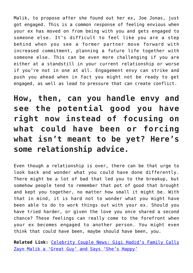Malik, to propose after she found out her ex, Joe Jonas, just got engaged. This is a common response of feeling envious when your ex has moved on from being with you and gets engaged to someone else. It's difficult to feel like you are a step behind when you see a former partner move forward with increased commitment, planning a future life together with someone else. This can be even more challenging if you are either at a standstill in your current relationship or worse if you're not in one at all. Engagement envy can strike and push you ahead when in fact you might not be ready to get engaged, as well as lead to pressure that can create conflict.

**How, then, can you handle envy and see the potential good you have right now instead of focusing on what could have been or forcing what isn't meant to be yet? Here's some relationship advice.**

Even though a relationship is over, there can be that urge to look back and wonder what you could have done differently. There might be a lot of bad that led you to the breakup, but somehow people tend to remember that pot of good that brought and kept you together, no matter how small it might be. With that in mind, it is hard not to wonder what you might have been able to do to work things out with your ex. Should you have tried harder, or given the love you once shared a second chance? These feelings can really come to the forefront when your ex becomes engaged to another person. You might even think that could have been, maybe should have been, you.

**Related Link:** [Celebrity Couple News: Gigi Hadid's Family Calls](http://cupidspulse.com/117923/celebrity-couple-news-gigi-hadid-family-calls-zayn-malik-great-guy/) [Zayn Malik a 'Great Guy' and Says 'She's Happy'](http://cupidspulse.com/117923/celebrity-couple-news-gigi-hadid-family-calls-zayn-malik-great-guy/)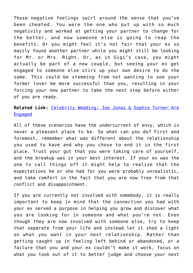Those negative feelings swirl around the sense that you've been cheated. You were the one who put up with so much negativity and worked at getting your partner to change for the better, and now someone else is going to reap the benefits. Or you might feel it's not fair that your ex so easily found another partner while you might still be looking for Mr. or Mrs. Right. Or, as in Gigi's case, you might actually be part of a new couple, but seeing your ex get engaged to someone else stirs up your own desire to do the same. This could be stemming from not wanting to see your former lover be more successful than you, resulting in your forcing your new partner to take the next step before either of you are ready.

### **Related Link:** [Celebrity Wedding: Joe Jonas & Sophie Turner Are](http://cupidspulse.com/121031/celebrity-wedding-joe-jonas-sophie-turner-engagement/) **[Engaged](http://cupidspulse.com/121031/celebrity-wedding-joe-jonas-sophie-turner-engagement/)**

All of these scenarios have the undercurrent of envy, which is never a pleasant place to be. So what can you do? First and foremost, remember what was different about the relationship you used to have and why you chose to end it in the first place. Trust your gut that you were taking care of yourself, and the breakup was in your best interest. If your ex was the one to call things off it might help to realize that the expectations he or she had for you were probably unrealistic, and take comfort in the fact that you are now free from that conflict and disappointment.

If you are currently not involved with somebody, it is really important to keep in mind that the connection you had with your ex served a purpose in helping you grow and discover what you are looking for in someone and what you're not. Even though they are now involved with someone else, try to keep that separate from your life and instead let it shed a light on what you want in your next relationship. Rather than getting caught up in feeling left behind or abandoned, or a failure that you and your ex couldn't make it work, focus on what you took out of it to better judge and choose your next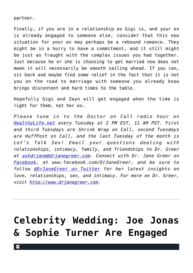partner.

Finally, if you are in a relationship as Gigi is, and your ex is already engaged to someone else, consider that this new situation for your ex may perhaps be a rebound romance. They might be in a hurry to have a commitment, and it still might be just as fraught with the complex issues you had together. Just because he or she is choosing to get married now does not mean it will necessarily be smooth sailing ahead. If you can, sit back and maybe find some relief in the fact that it is not you on the road to marriage with someone you already know brings discontent and hard times to the table.

Hopefully Gigi and Zayn will get engaged when the time is right for them, not her ex.

*Please tune in to the Doctor on Call radio hour on [HealthyLife.net](http://www.healthylife.net/) every Tuesday at 2 PM EST, 11 AM PST. First and third Tuesdays are Shrink Wrap on Call, second Tuesdays are HuffPost on Call, and the last Tuesday of the month is Let's Talk Sex! Email your questions dealing with relationships, intimacy, family, and friendships to Dr. Greer at [askdrjane@drjanegreer.com](mailto:askdrjane@drjanegreer.com). Connect with Dr. Jane Greer on [Facebook](http://www.facebook.com/DrJaneGreer), at www.facebook.com/DrJaneGreer, and be sure to follow [@DrJaneGreer on Twitter](https://twitter.com/#!/DrJaneGreer) for her latest insights on love, relationships, sex, and intimacy. For more on Dr. Greer, visit [http://www.drjanegreer.com.](http://www.drjanegreer.com/)*

# **[Celebrity Wedding: Joe Jonas](https://cupidspulse.com/121031/celebrity-wedding-joe-jonas-sophie-turner-engagement/) [& Sophie Turner Are Engaged](https://cupidspulse.com/121031/celebrity-wedding-joe-jonas-sophie-turner-engagement/)**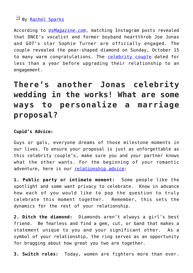### By [Rachel Sparks](http://cupidspulse.com/121112/rachel-sparks/)

According to *[UsMagazine.com](http://www.usmagazine.com/celebrity-news/news/joe-jonas-and-sophie-turner-are-engaged-see-the-ring-w509027)*, matching Instagram posts revealed that DNCE's vocalist and former boyband heartthrob Joe Jonas and *GOT*'s star Sophie Turner are officially engaged. The couple revealed the pear-shaped diamond on Sunday, October 15 to many warm congratulations. The [celebrity couple](http://cupidspulse.com/celebrity-news/celebrity-dating/) dated for less than a year before upgrading their relationship to an engagement.

### **There's another Jonas celebrity wedding in the works! What are some ways to personalize a marriage proposal?**

### **Cupid's Advice:**

Guys or gals, everyone dreams of those milestone moments in our lives. To ensure your proposal is just as unforgettable as this celebrity couple's, make sure you and your partner knows what the other wants. For the beginning of your romantic adventure, here is our [relationship advice:](http://cupidspulse.com/relationship-experts/)

**1. Public party or intimate moment:** Some people like the spotlight and some want privacy to celebrate. Know in advance how each of you would like to pop the question to truly celebrate this moment together. Remember, this sets the dynamics for the rest of your relationship.

**2. Ditch the diamond:** Diamonds aren't always a girl's best friend. Be fearless and find a gem, cut, or band that makes a statement unique to you and your significant other. As a symbol of your relationship, the ring serves as an opportunity for bragging about how great you two are together.

**3. Switch roles:** Today, women are fighters more than ever.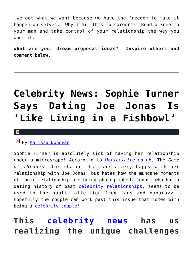We get what we want because we have the freedom to make it happen ourselves. Why limit this to careers? Bend a knee to your man and take control of your relationship the way you want it.

**What are your dream proposal ideas? Inspire others and comment below.** 

# **[Celebrity News: Sophie Turner](https://cupidspulse.com/119633/celebrity-news-sophie-turner-dating-joe-jonas/) [Says Dating Joe Jonas Is](https://cupidspulse.com/119633/celebrity-news-sophie-turner-dating-joe-jonas/) ['Like Living in a Fishbowl'](https://cupidspulse.com/119633/celebrity-news-sophie-turner-dating-joe-jonas/)**

#### $\pmb{\times}$

### **E** By [Marissa Donovan](http://cupidspulse.com/118743/marissa-donovan/)

Sophie Turner is absolutely sick of having her relationship under a microscope! According to *[Marieclaire.co.uk](http://www.marieclaire.co.uk/news/sophie-turner-interview-518581),* The *Game of Thrones* star shared that she's very happy with her relationship with Joe Jonas, but hates how the mundane moments of their relationship are being photographed. Jonas, who has a dating history of past [celebrity relationships](http://cupidspulse.com/celebrity-news/celebrity-break-ups/), seems to be used to the public attention from fans and paparazzi. Hopefully the couple can work past this issue that comes with being a [celebrity couple!](http://cupidspulse.com/celebrity-news/celebrity-dating/)

### **This [celebrity news](http://cupidspulse.com/celebrity-news/) has us realizing the unique challenges**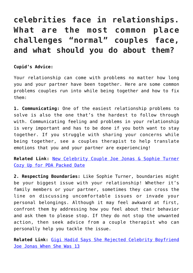## **celebrities face in relationships. What are the most common place challenges "normal" couples face, and what should you do about them?**

#### **Cupid's Advice:**

Your relationship can come with problems no matter how long you and your partner have been together. Here are some common problems couples run into while being together and how to fix them:

**1. Communicating:** One of the easiest relationship problems to solve is also the one that's the hardest to follow through with. Communicating feeling and problems in your relationship is very important and has to be done if you both want to stay together. If you struggle with sharing your concerns while being together, see a couples therapist to help translate emotions that you and your partner are experiencing!

**Related Link:** [New Celebrity Couple Joe Jonas & Sophie Turner](http://cupidspulse.com/115489/new-celebrity-couple-joe-jonas-sophie-turner/) [Cozy Up for PDA Packed Date](http://cupidspulse.com/115489/new-celebrity-couple-joe-jonas-sophie-turner/)

**2. Respecting Boundaries:** Like Sophie Turner, boundaries might be your biggest issue with your relationship! Whether it's family members or your partner, sometimes they can cross the line on discussing uncomfortable issues or invade your personal belongings. Although it may feel awkward at first, confront them by addressing how you feel about their behavior and ask them to please stop. If they do not stop the unwanted action, then seek advice from a couple therapist who can personally help you tackle the issue.

**Related Link:** [Gigi Hadid Says She Rejected Celebrity Boyfriend](http://cupidspulse.com/99972/gigi-hadid-rejected-celebrity-boyfriend-joe-jonas/) [Joe Jonas When She Was 13](http://cupidspulse.com/99972/gigi-hadid-rejected-celebrity-boyfriend-joe-jonas/)